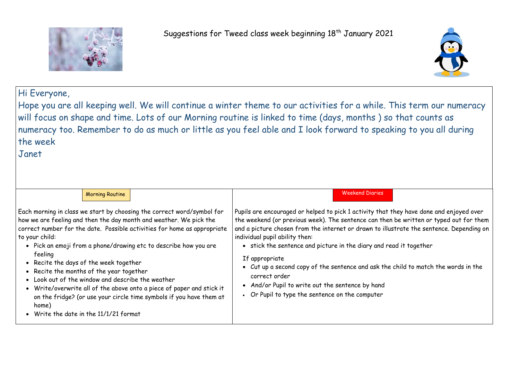

# Hi Everyone,

Hope you are all keeping well. We will continue a winter theme to our activities for a while. This term our numeracy will focus on shape and time. Lots of our Morning routine is linked to time (days, months ) so that counts as numeracy too. Remember to do as much or little as you feel able and I look forward to speaking to you all during the week

Janet

| <b>Morning Routine</b>                                                                                                                                                                                                                                                                                                                                                                                                                                                                                                                                                                                                                                                  | <b>Weekend Diaries</b>                                                                                                                                                                                                                                                                                                                                                                                                                                                     |
|-------------------------------------------------------------------------------------------------------------------------------------------------------------------------------------------------------------------------------------------------------------------------------------------------------------------------------------------------------------------------------------------------------------------------------------------------------------------------------------------------------------------------------------------------------------------------------------------------------------------------------------------------------------------------|----------------------------------------------------------------------------------------------------------------------------------------------------------------------------------------------------------------------------------------------------------------------------------------------------------------------------------------------------------------------------------------------------------------------------------------------------------------------------|
| Each morning in class we start by choosing the correct word/symbol for<br>how we are feeling and then the day month and weather. We pick the<br>correct number for the date. Possible activities for home as appropriate<br>to your child:<br>• Pick an emoji from a phone/drawing etc to describe how you are<br>feeling<br>• Recite the days of the week together<br>• Recite the months of the year together<br>• Look out of the window and describe the weather<br>• Write/overwrite all of the above onto a piece of paper and stick it<br>on the fridge? (or use your circle time symbols if you have them at<br>home)<br>• Write the date in the 11/1/21 format | Pupils are encouraged or helped to pick 1 activity that t<br>the weekend (or previous week). The sentence can then<br>and a picture chosen from the internet or drawn to illus<br>individual pupil ability then:<br>• stick the sentence and picture in the diary and real<br>If appropriate<br>• Cut up a second copy of the sentence and ask the<br>correct order<br>• And/or Pupil to write out the sentence by hand<br>• Or Pupil to type the sentence on the computer |



rhey have done and enjoyed over be written or typed out for them strate the sentence. Depending on

ead it together

child to match the words in the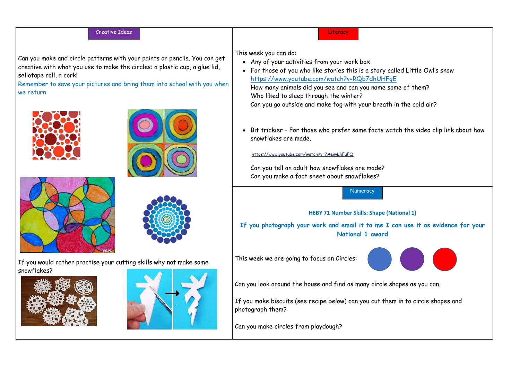**Literacy** 

### Creative Ideas

Can you make and circle patterns with your paints or pencils. You can get creative with what you use to make the circles: a plastic cup, a glue lid, sellotape roll, a cork!

Remember to save your pictures and bring them into school with you when we return









If you would rather practise your cutting skills why not make some snowflakes?





This week you can do:

- Any of your activities from your work box
- <https://www.youtube.com/watch?v=RQb7dhUHFqE> How many animals did you see and can you name some of them? Who liked to sleep through the winter? Can you go outside and make fog with your breath in the cold air?
- snowflakes are made.

<https://www.youtube.com/watch?v=7AeiwLhFuFQ>



Can you tell an adult how snowflakes are made? Can you make a fact sheet about snowflakes?

**National 1 award**

This week we are going to focus on Circles:

Can you look around the house and find as many circle shapes as you can.

photograph them?

Can you make circles from playdough?